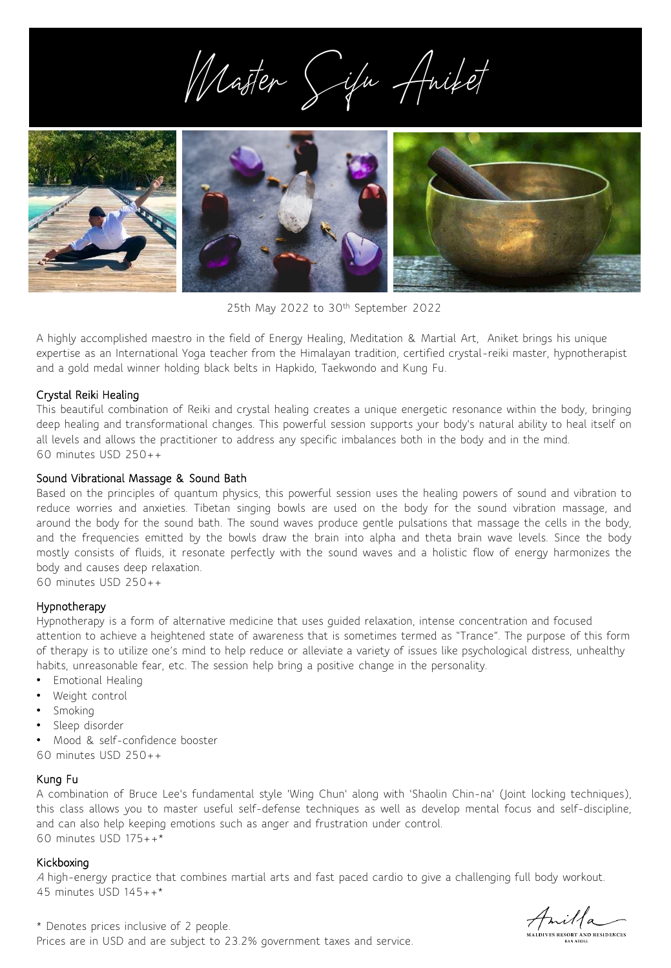Master Sifu Aniket



25th May 2022 to 30th September 2022

A highly accomplished maestro in the field of Energy Healing, Meditation & Martial Art, Aniket brings his unique expertise as an International Yoga teacher from the Himalayan tradition, certified crystal-reiki master, hypnotherapist and a gold medal winner holding black belts in Hapkido, Taekwondo and Kung Fu.

# Crystal Reiki Healing

This beautiful combination of Reiki and crystal healing creates a unique energetic resonance within the body, bringing deep healing and transformational changes. This powerful session supports your body's natural ability to heal itself on all levels and allows the practitioner to address any specific imbalances both in the body and in the mind. 60 minutes USD 250++

## Sound Vibrational Massage & Sound Bath

Based on the principles of quantum physics, this powerful session uses the healing powers of sound and vibration to reduce worries and anxieties. Tibetan singing bowls are used on the body for the sound vibration massage, and around the body for the sound bath. The sound waves produce gentle pulsations that massage the cells in the body, and the frequencies emitted by the bowls draw the brain into alpha and theta brain wave levels. Since the body mostly consists of fluids, it resonate perfectly with the sound waves and a holistic flow of energy harmonizes the body and causes deep relaxation.

60 minutes USD 250++

# Hypnotherapy

Hypnotherapy is a form of alternative medicine that uses guided relaxation, intense concentration and focused attention to achieve a heightened state of awareness that is sometimes termed as "Trance". The purpose of this form of therapy is to utilize one's mind to help reduce or alleviate a variety of issues like psychological distress, unhealthy habits, unreasonable fear, etc. The session help bring a positive change in the personality.

- Emotional Healing
- Weight control
- Smoking
- Sleep disorder
- Mood & self-confidence booster
- 60 minutes USD 250++

# Kung Fu

A combination of Bruce Lee's fundamental style 'Wing Chun' along with 'Shaolin Chin-na' (Joint locking techniques), this class allows you to master useful self-defense techniques as well as develop mental focus and self-discipline, and can also help keeping emotions such as anger and frustration under control. 60 minutes USD 175++\*

### Kickboxing

<sup>A</sup> high-energy practice that combines martial arts and fast paced cardio to give a challenging full body workout. 45 minutes USD 145++\*

Amilla

\* Denotes prices inclusive of 2 people. Prices are in USD and are subject to 23.2% government taxes and service.